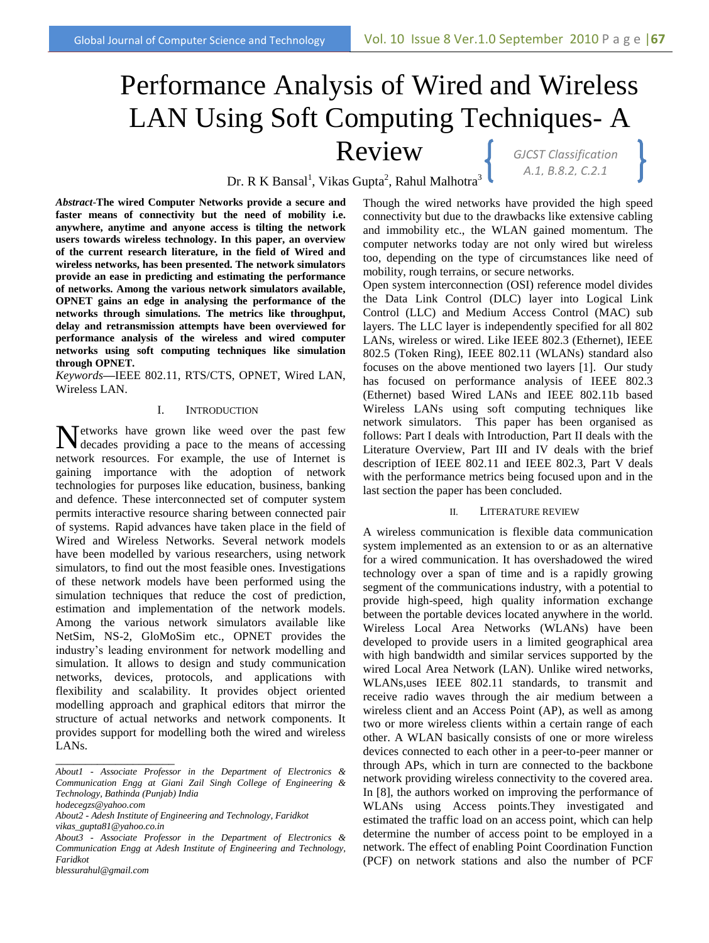# *GJCST Classification A.1, B.8.2, C.2.1* Performance Analysis of Wired and Wireless LAN Using Soft Computing Techniques- A Review

Dr. R K Bansal<sup>1</sup>, Vikas Gupta<sup>2</sup>, Rahul Malhotra<sup>3</sup>

*Abstract*-**The wired Computer Networks provide a secure and faster means of connectivity but the need of mobility i.e. anywhere, anytime and anyone access is tilting the network users towards wireless technology. In this paper, an overview of the current research literature, in the field of Wired and wireless networks, has been presented. The network simulators provide an ease in predicting and estimating the performance of networks. Among the various network simulators available, OPNET gains an edge in analysing the performance of the networks through simulations. The metrics like throughput, delay and retransmission attempts have been overviewed for performance analysis of the wireless and wired computer networks using soft computing techniques like simulation through OPNET.**

*Keywords***—**IEEE 802.11, RTS/CTS, OPNET, Wired LAN, Wireless LAN.

## I. INTRODUCTION

etworks have grown like weed over the past few Networks have grown like weed over the past few decades providing a pace to the means of accessing network resources. For example, the use of Internet is gaining importance with the adoption of network technologies for purposes like education, business, banking and defence. These interconnected set of computer system permits interactive resource sharing between connected pair of systems. Rapid advances have taken place in the field of Wired and Wireless Networks. Several network models have been modelled by various researchers, using network simulators, to find out the most feasible ones. Investigations of these network models have been performed using the simulation techniques that reduce the cost of prediction, estimation and implementation of the network models. Among the various network simulators available like NetSim, NS-2, GloMoSim etc., OPNET provides the industry's leading environment for network modelling and simulation. It allows to design and study communication networks, devices, protocols, and applications with flexibility and scalability. It provides object oriented modelling approach and graphical editors that mirror the structure of actual networks and network components. It provides support for modelling both the wired and wireless LANs.

\_\_\_\_\_\_\_\_\_\_\_\_\_\_\_\_\_\_\_\_

Though the wired networks have provided the high speed connectivity but due to the drawbacks like extensive cabling and immobility etc., the WLAN gained momentum. The computer networks today are not only wired but wireless too, depending on the type of circumstances like need of mobility, rough terrains, or secure networks.

Open system interconnection (OSI) reference model divides the Data Link Control (DLC) layer into Logical Link Control (LLC) and Medium Access Control (MAC) sub layers. The LLC layer is independently specified for all 802 LANs, wireless or wired. Like IEEE 802.3 (Ethernet), IEEE 802.5 (Token Ring), IEEE 802.11 (WLANs) standard also focuses on the above mentioned two layers [1]. Our study has focused on performance analysis of IEEE 802.3 (Ethernet) based Wired LANs and IEEE 802.11b based Wireless LANs using soft computing techniques like network simulators. This paper has been organised as follows: Part I deals with Introduction, Part II deals with the Literature Overview, Part III and IV deals with the brief description of IEEE 802.11 and IEEE 802.3, Part V deals with the performance metrics being focused upon and in the last section the paper has been concluded.

#### II. LITERATURE REVIEW

A wireless communication is flexible data communication system implemented as an extension to or as an alternative for a wired communication. It has overshadowed the wired technology over a span of time and is a rapidly growing segment of the communications industry, with a potential to provide high-speed, high quality information exchange between the portable devices located anywhere in the world. Wireless Local Area Networks (WLANs) have been developed to provide users in a limited geographical area with high bandwidth and similar services supported by the wired Local Area Network (LAN). Unlike wired networks, WLANs,uses IEEE 802.11 standards, to transmit and receive radio waves through the air medium between a wireless client and an Access Point (AP), as well as among two or more wireless clients within a certain range of each other. A WLAN basically consists of one or more wireless devices connected to each other in a peer-to-peer manner or through APs, which in turn are connected to the backbone network providing wireless connectivity to the covered area. In [8], the authors worked on improving the performance of WLANs using Access points.They investigated and estimated the traffic load on an access point, which can help determine the number of access point to be employed in a network. The effect of enabling Point Coordination Function (PCF) on network stations and also the number of PCF

*About1 - Associate Professor in the Department of Electronics & Communication Engg at Giani Zail Singh College of Engineering & Technology, Bathinda (Punjab) India*

*hodecegzs@yahoo.com*

*About2 - Adesh Institute of Engineering and Technology, Faridkot vikas\_gupta81@yahoo.co.in*

*About3 - Associate Professor in the Department of Electronics & Communication Engg at Adesh Institute of Engineering and Technology, Faridkot*

*blessurahul@gmail.com*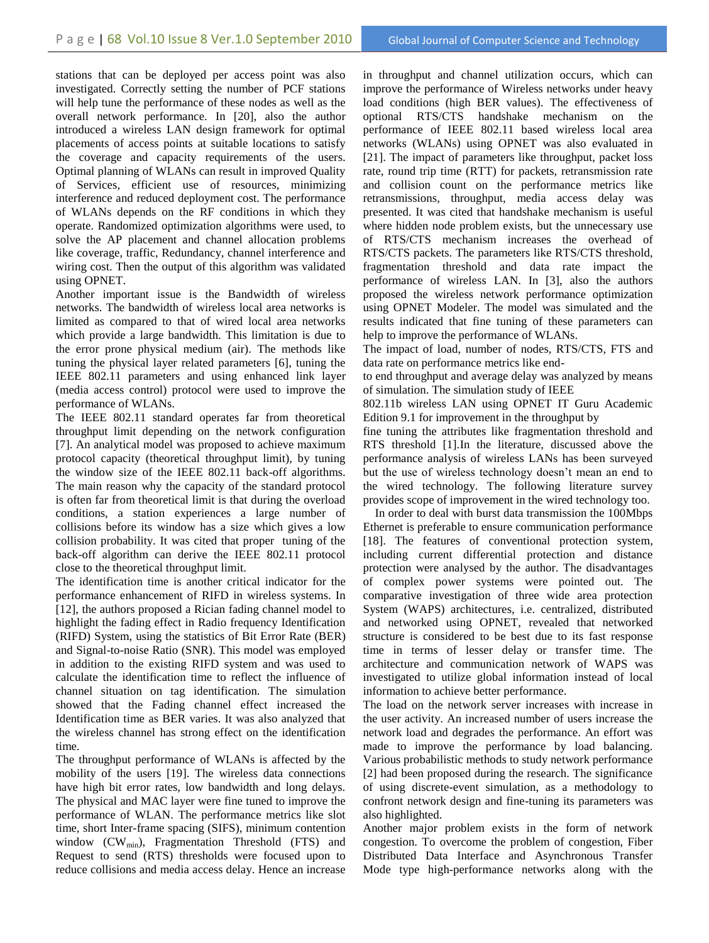stations that can be deployed per access point was also investigated. Correctly setting the number of PCF stations will help tune the performance of these nodes as well as the overall network performance. In [20], also the author introduced a wireless LAN design framework for optimal placements of access points at suitable locations to satisfy the coverage and capacity requirements of the users. Optimal planning of WLANs can result in improved Quality of Services, efficient use of resources, minimizing interference and reduced deployment cost. The performance of WLANs depends on the RF conditions in which they operate. Randomized optimization algorithms were used, to solve the AP placement and channel allocation problems like coverage, traffic, Redundancy, channel interference and wiring cost. Then the output of this algorithm was validated using OPNET.

Another important issue is the Bandwidth of wireless networks. The bandwidth of wireless local area networks is limited as compared to that of wired local area networks which provide a large bandwidth. This limitation is due to the error prone physical medium (air). The methods like tuning the physical layer related parameters [6], tuning the IEEE 802.11 parameters and using enhanced link layer (media access control) protocol were used to improve the performance of WLANs.

The IEEE 802.11 standard operates far from theoretical throughput limit depending on the network configuration [7]. An analytical model was proposed to achieve maximum protocol capacity (theoretical throughput limit), by tuning the window size of the IEEE 802.11 back-off algorithms. The main reason why the capacity of the standard protocol is often far from theoretical limit is that during the overload conditions, a station experiences a large number of collisions before its window has a size which gives a low collision probability. It was cited that proper tuning of the back-off algorithm can derive the IEEE 802.11 protocol close to the theoretical throughput limit.

The identification time is another critical indicator for the performance enhancement of RIFD in wireless systems. In [12], the authors proposed a Rician fading channel model to highlight the fading effect in Radio frequency Identification (RIFD) System, using the statistics of Bit Error Rate (BER) and Signal-to-noise Ratio (SNR). This model was employed in addition to the existing RIFD system and was used to calculate the identification time to reflect the influence of channel situation on tag identification. The simulation showed that the Fading channel effect increased the Identification time as BER varies. It was also analyzed that the wireless channel has strong effect on the identification time.

The throughput performance of WLANs is affected by the mobility of the users [19]. The wireless data connections have high bit error rates, low bandwidth and long delays. The physical and MAC layer were fine tuned to improve the performance of WLAN. The performance metrics like slot time, short Inter-frame spacing (SIFS), minimum contention window  $(CW_{min})$ , Fragmentation Threshold (FTS) and Request to send (RTS) thresholds were focused upon to reduce collisions and media access delay. Hence an increase in throughput and channel utilization occurs, which can improve the performance of Wireless networks under heavy load conditions (high BER values). The effectiveness of optional RTS/CTS handshake mechanism on the performance of IEEE 802.11 based wireless local area networks (WLANs) using OPNET was also evaluated in [21]. The impact of parameters like throughput, packet loss rate, round trip time (RTT) for packets, retransmission rate and collision count on the performance metrics like retransmissions, throughput, media access delay was presented. It was cited that handshake mechanism is useful where hidden node problem exists, but the unnecessary use of RTS/CTS mechanism increases the overhead of RTS/CTS packets. The parameters like RTS/CTS threshold, fragmentation threshold and data rate impact the performance of wireless LAN. In [3], also the authors proposed the wireless network performance optimization using OPNET Modeler. The model was simulated and the results indicated that fine tuning of these parameters can help to improve the performance of WLANs.

The impact of load, number of nodes, RTS/CTS, FTS and data rate on performance metrics like end-

to end throughput and average delay was analyzed by means of simulation. The simulation study of IEEE

802.11b wireless LAN using OPNET IT Guru Academic Edition 9.1 for improvement in the throughput by

fine tuning the attributes like fragmentation threshold and RTS threshold [1].In the literature, discussed above the performance analysis of wireless LANs has been surveyed but the use of wireless technology doesn't mean an end to the wired technology. The following literature survey provides scope of improvement in the wired technology too.

 In order to deal with burst data transmission the 100Mbps Ethernet is preferable to ensure communication performance [18]. The features of conventional protection system, including current differential protection and distance protection were analysed by the author. The disadvantages of complex power systems were pointed out. The comparative investigation of three wide area protection System (WAPS) architectures, i.e. centralized, distributed and networked using OPNET, revealed that networked structure is considered to be best due to its fast response time in terms of lesser delay or transfer time. The architecture and communication network of WAPS was investigated to utilize global information instead of local information to achieve better performance.

The load on the network server increases with increase in the user activity. An increased number of users increase the network load and degrades the performance. An effort was made to improve the performance by load balancing. Various probabilistic methods to study network performance [2] had been proposed during the research. The significance of using discrete-event simulation, as a methodology to confront network design and fine-tuning its parameters was also highlighted.

Another major problem exists in the form of network congestion. To overcome the problem of congestion, Fiber Distributed Data Interface and Asynchronous Transfer Mode type high-performance networks along with the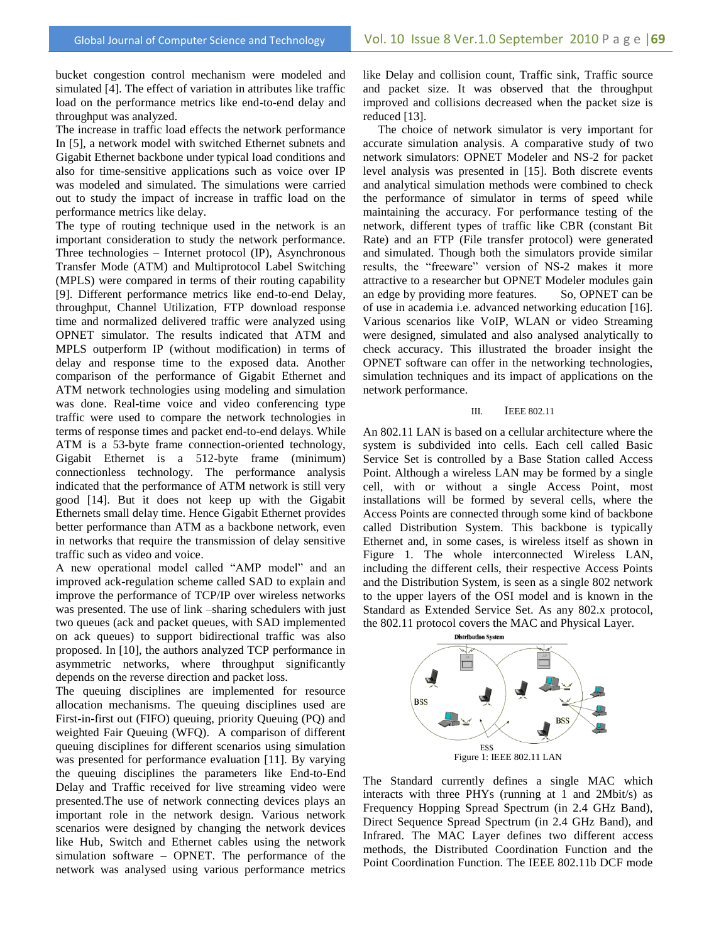bucket congestion control mechanism were modeled and simulated [4]. The effect of variation in attributes like traffic load on the performance metrics like end-to-end delay and throughput was analyzed.

The increase in traffic load effects the network performance In [5], a network model with switched Ethernet subnets and Gigabit Ethernet backbone under typical load conditions and also for time-sensitive applications such as voice over IP was modeled and simulated. The simulations were carried out to study the impact of increase in traffic load on the performance metrics like delay.

The type of routing technique used in the network is an important consideration to study the network performance. Three technologies – Internet protocol (IP), Asynchronous Transfer Mode (ATM) and Multiprotocol Label Switching (MPLS) were compared in terms of their routing capability [9]. Different performance metrics like end-to-end Delay, throughput, Channel Utilization, FTP download response time and normalized delivered traffic were analyzed using OPNET simulator. The results indicated that ATM and MPLS outperform IP (without modification) in terms of delay and response time to the exposed data. Another comparison of the performance of Gigabit Ethernet and ATM network technologies using modeling and simulation was done. Real-time voice and video conferencing type traffic were used to compare the network technologies in terms of response times and packet end-to-end delays. While ATM is a 53-byte frame connection-oriented technology, Gigabit Ethernet is a 512-byte frame (minimum) connectionless technology. The performance analysis indicated that the performance of ATM network is still very good [14]. But it does not keep up with the Gigabit Ethernets small delay time. Hence Gigabit Ethernet provides better performance than ATM as a backbone network, even in networks that require the transmission of delay sensitive traffic such as video and voice.

A new operational model called "AMP model" and an improved ack-regulation scheme called SAD to explain and improve the performance of TCP/IP over wireless networks was presented. The use of link –sharing schedulers with just two queues (ack and packet queues, with SAD implemented on ack queues) to support bidirectional traffic was also proposed. In [10], the authors analyzed TCP performance in asymmetric networks, where throughput significantly depends on the reverse direction and packet loss.

The queuing disciplines are implemented for resource allocation mechanisms. The queuing disciplines used are First-in-first out (FIFO) queuing, priority Queuing (PQ) and weighted Fair Queuing (WFQ). A comparison of different queuing disciplines for different scenarios using simulation was presented for performance evaluation [11]. By varying the queuing disciplines the parameters like End-to-End Delay and Traffic received for live streaming video were presented.The use of network connecting devices plays an important role in the network design. Various network scenarios were designed by changing the network devices like Hub, Switch and Ethernet cables using the network simulation software – OPNET. The performance of the network was analysed using various performance metrics

like Delay and collision count, Traffic sink, Traffic source and packet size. It was observed that the throughput improved and collisions decreased when the packet size is reduced [13].

 The choice of network simulator is very important for accurate simulation analysis. A comparative study of two network simulators: OPNET Modeler and NS-2 for packet level analysis was presented in [15]. Both discrete events and analytical simulation methods were combined to check the performance of simulator in terms of speed while maintaining the accuracy. For performance testing of the network, different types of traffic like CBR (constant Bit Rate) and an FTP (File transfer protocol) were generated and simulated. Though both the simulators provide similar results, the "freeware" version of NS-2 makes it more attractive to a researcher but OPNET Modeler modules gain an edge by providing more features. So, OPNET can be of use in academia i.e. advanced networking education [16]. Various scenarios like VoIP, WLAN or video Streaming were designed, simulated and also analysed analytically to check accuracy. This illustrated the broader insight the OPNET software can offer in the networking technologies, simulation techniques and its impact of applications on the network performance.

#### III. IEEE 802.11

An 802.11 LAN is based on a cellular architecture where the system is subdivided into cells. Each cell called Basic Service Set is controlled by a Base Station called Access Point. Although a wireless LAN may be formed by a single cell, with or without a single Access Point, most installations will be formed by several cells, where the Access Points are connected through some kind of backbone called Distribution System. This backbone is typically Ethernet and, in some cases, is wireless itself as shown in Figure 1. The whole interconnected Wireless LAN, including the different cells, their respective Access Points and the Distribution System, is seen as a single 802 network to the upper layers of the OSI model and is known in the Standard as Extended Service Set. As any 802.x protocol, the 802.11 protocol covers the MAC and Physical Layer.



Figure 1: IEEE 802.11 LAN

The Standard currently defines a single MAC which interacts with three PHYs (running at 1 and 2Mbit/s) as Frequency Hopping Spread Spectrum (in 2.4 GHz Band), Direct Sequence Spread Spectrum (in 2.4 GHz Band), and Infrared. The MAC Layer defines two different access methods, the Distributed Coordination Function and the Point Coordination Function. The IEEE 802.11b DCF mode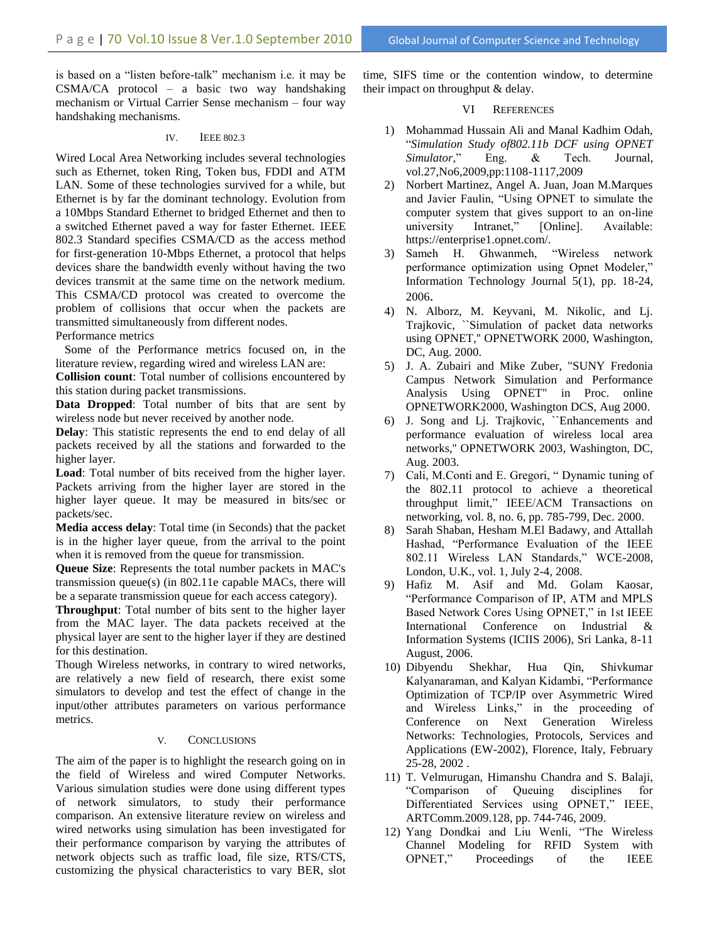is based on a "listen before-talk" mechanism i.e. it may be CSMA/CA protocol – a basic two way handshaking mechanism or Virtual Carrier Sense mechanism – four way handshaking mechanisms.

#### IV. IEEE 802.3

Wired Local Area Networking includes several technologies such as Ethernet, token Ring, Token bus, FDDI and ATM LAN. Some of these technologies survived for a while, but Ethernet is by far the dominant technology. Evolution from a 10Mbps Standard Ethernet to bridged Ethernet and then to a switched Ethernet paved a way for faster Ethernet. IEEE 802.3 Standard specifies CSMA/CD as the access method for first-generation 10-Mbps Ethernet, a protocol that helps devices share the bandwidth evenly without having the two devices transmit at the same time on the network medium. This CSMA/CD protocol was created to overcome the problem of collisions that occur when the packets are transmitted simultaneously from different nodes.

Performance metrics

 Some of the Performance metrics focused on, in the literature review, regarding wired and wireless LAN are:

**Collision count**: Total number of collisions encountered by this station during packet transmissions.

**Data Dropped**: Total number of bits that are sent by wireless node but never received by another node.

**Delay**: This statistic represents the end to end delay of all packets received by all the stations and forwarded to the higher layer.

**Load**: Total number of bits received from the higher layer. Packets arriving from the higher layer are stored in the higher layer queue. It may be measured in bits/sec or packets/sec.

**Media access delay**: Total time (in Seconds) that the packet is in the higher layer queue, from the arrival to the point when it is removed from the queue for transmission.

**Queue Size**: Represents the total number packets in MAC's transmission queue(s) (in 802.11e capable MACs, there will be a separate transmission queue for each access category).

**Throughput**: Total number of bits sent to the higher layer from the MAC layer. The data packets received at the physical layer are sent to the higher layer if they are destined for this destination.

Though Wireless networks, in contrary to wired networks, are relatively a new field of research, there exist some simulators to develop and test the effect of change in the input/other attributes parameters on various performance metrics.

# V. CONCLUSIONS

The aim of the paper is to highlight the research going on in the field of Wireless and wired Computer Networks. Various simulation studies were done using different types of network simulators, to study their performance comparison. An extensive literature review on wireless and wired networks using simulation has been investigated for their performance comparison by varying the attributes of network objects such as traffic load, file size, RTS/CTS, customizing the physical characteristics to vary BER, slot time, SIFS time or the contention window, to determine their impact on throughput & delay.

## VI REFERENCES

- 1) Mohammad Hussain Ali and Manal Kadhim Odah, ―*Simulation Study of802.11b DCF using OPNET Simulator*," Eng. & Tech. Journal, vol.27,No6,2009,pp:1108-1117,2009
- 2) Norbert Martinez, Angel A. Juan, Joan M.Marques and Javier Faulin, "Using OPNET to simulate the computer system that gives support to an on-line university Intranet," [Online]. Available: https://enterprise1.opnet.com/.
- Sameh H. Ghwanmeh, "Wireless network performance optimization using Opnet Modeler," Information Technology Journal 5(1), pp. 18-24, 2006.
- 4) N. Alborz, M. Keyvani, M. Nikolic, and Lj. Trajkovic, ``Simulation of packet data networks using OPNET,'' OPNETWORK 2000, Washington, DC, Aug. 2000.
- 5) J. A. Zubairi and Mike Zuber, "SUNY Fredonia Campus Network Simulation and Performance Analysis Using OPNET" in Proc. online OPNETWORK2000, Washington DCS, Aug 2000.
- 6) J. Song and Lj. Trajkovic, ``Enhancements and performance evaluation of wireless local area networks,'' OPNETWORK 2003, Washington, DC, Aug. 2003.
- 7) Cali, M.Conti and E. Gregori, "Dynamic tuning of the 802.11 protocol to achieve a theoretical throughput limit," IEEE/ACM Transactions on networking, vol. 8, no. 6, pp. 785-799, Dec. 2000.
- 8) Sarah Shaban, Hesham M.El Badawy, and Attallah Hashad, "Performance Evaluation of the IEEE 802.11 Wireless LAN Standards," WCE-2008, London, U.K., vol. 1, July 2-4, 2008.
- 9) Hafiz M. Asif and Md. Golam Kaosar, ―Performance Comparison of IP, ATM and MPLS Based Network Cores Using OPNET," in 1st IEEE International Conference on Industrial & Information Systems (ICIIS 2006), Sri Lanka, 8-11 August, 2006.
- 10) Dibyendu Shekhar, Hua Qin, Shivkumar Kalyanaraman, and Kalyan Kidambi, "Performance Optimization of TCP/IP over Asymmetric Wired and Wireless Links," in the proceeding of Conference on Next Generation Wireless Networks: Technologies, Protocols, Services and Applications (EW-2002), Florence, Italy, February 25-28, 2002 .
- 11) T. Velmurugan, Himanshu Chandra and S. Balaji, ―Comparison of Queuing disciplines for Differentiated Services using OPNET," IEEE, ARTComm.2009.128, pp. 744-746, 2009.
- 12) Yang Dondkai and Liu Wenli, "The Wireless Channel Modeling for RFID System with OPNET," Proceedings of the IEEE